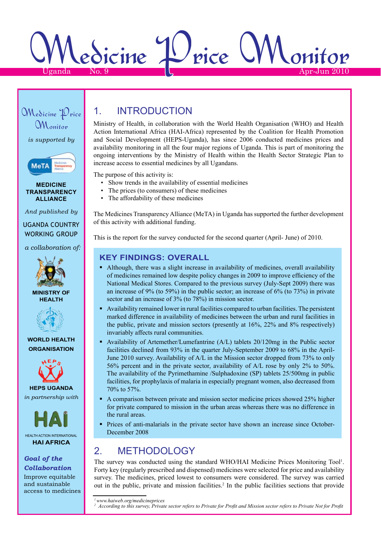Medicine Price Monitor Uganda No. 9  $\vert\downarrow$   $\vert\downarrow$  Apr-Jun 2010



## 1. Introduction

Ministry of Health, in collaboration with the World Health Organisation (WHO) and Health Action International Africa (HAI-Africa) represented by the Coalition for Health Promotion and Social Development (HEPS-Uganda), has since 2006 conducted medicines prices and availability monitoring in all the four major regions of Uganda. This is part of monitoring the ongoing interventions by the Ministry of Health within the Health Sector Strategic Plan to increase access to essential medicines by all Ugandans.

The purpose of this activity is:

- Show trends in the availability of essential medicines
- The prices (to consumers) of these medicines
- The affordability of these medicines

The Medicines Transparency Alliance (MeTA) in Uganda has supported the further development of this activity with additional funding.

This is the report for the survey conducted for the second quarter (April- June) of 2010.

### **Key Findings: Overall**

- Although, there was a slight increase in availability of medicines, overall availability of medicines remained low despite policy changes in 2009 to improve efficiency of the National Medical Stores. Compared to the previous survey (July-Sept 2009) there was an increase of 9% (to 59%) in the public sector; an increase of 6% (to 73%) in private sector and an increase of 3% (to 78%) in mission sector.
- Availability remained lower in rural facilities compared to urban facilities. The persistent marked difference in availability of medicines between the urban and rural facilities in the public, private and mission sectors (presently at 16%, 22% and 8% respectively) invariably affects rural communities.
- Availability of Artemether/Lumefantrine (A/L) tablets 20/120mg in the Public sector facilities declined from 93% in the quarter July-September 2009 to 68% in the April-June 2010 survey. Availability of A/L in the Mission sector dropped from 73% to only 56% percent and in the private sector, availability of A/L rose by only 2% to 50%. The availability of the Pyrimethamine /Sulphadoxine (SP) tablets 25/500mg in public facilities, for prophylaxis of malaria in especially pregnant women, also decreased from 70% to 57%.
- A comparison between private and mission sector medicine prices showed 25% higher for private compared to mission in the urban areas whereas there was no difference in the rural areas.
- Prices of anti-malarials in the private sector have shown an increase since October-December 2008

### 2. METHODOLOGY

The survey was conducted using the standard WHO/HAI Medicine Prices Monitoring Tool<sup>1</sup>. Forty key (regularly prescribed and dispensed) medicines were selected for price and availability survey. The medicines, priced lowest to consumers were considered. The survey was carried out in the public, private and mission facilities.2 In the public facilities sections that provide

*1www.haiweb.org/medicineprices*

```
2 According to this survey, Private sector refers to Private for Profit and Mission sector refers to Private Not for Profit
```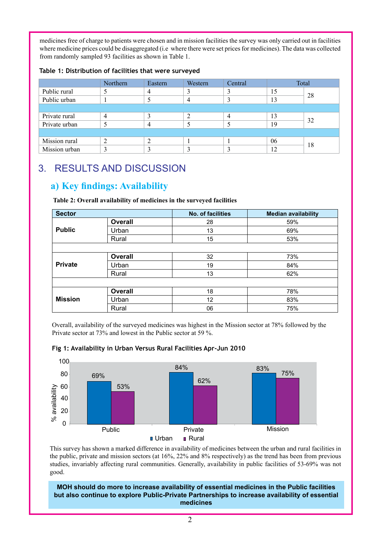medicines free of charge to patients were chosen and in mission facilities the survey was only carried out in facilities where medicine prices could be disaggregated (i.e where there were set prices for medicines). The data was collected from randomly sampled 93 facilities as shown in Table 1.

|  | Table 1: Distribution of facilities that were surveyed |  |  |  |
|--|--------------------------------------------------------|--|--|--|
|--|--------------------------------------------------------|--|--|--|

|               | Northern       | Eastern | Western | Central |    | Total |
|---------------|----------------|---------|---------|---------|----|-------|
| Public rural  |                | 4       |         |         | 15 | 28    |
| Public urban  |                |         |         |         | 13 |       |
|               |                |         |         |         |    |       |
| Private rural | $\overline{4}$ |         |         |         | 13 | 32    |
| Private urban | ◡              | 4       |         |         | 19 |       |
|               |                |         |         |         |    |       |
| Mission rural | 2              |         |         |         | 06 | 18    |
| Mission urban |                |         |         |         | 12 |       |

# 3. RESULTS AND DISCUSSION

## **a) Key findings: Availability**

| <b>Sector</b>  |                | No. of facilities | <b>Median availability</b> |
|----------------|----------------|-------------------|----------------------------|
|                | Overall        | 28                | 59%                        |
| <b>Public</b>  | Urban          | 13                | 69%                        |
|                | Rural          | 15                | 53%                        |
|                |                |                   |                            |
|                | <b>Overall</b> | 32                | 73%                        |
| <b>Private</b> | Urban          | 19                | 84%                        |
|                | Rural          | 13                | 62%                        |
|                |                |                   |                            |
|                | <b>Overall</b> | 18                | 78%                        |
| <b>Mission</b> | Urban          | 12                | 83%                        |
|                | Rural          | 06                | 75%                        |

**Table 2: Overall availability of medicines in the surveyed facilities**

Overall, availability of the surveyed medicines was highest in the Mission sector at 78% followed by the Private sector at 73% and lowest in the Public sector at 59 %.





This survey has shown a marked difference in availability of medicines between the urban and rural facilities in the public, private and mission sectors (at 16%, 22% and 8% respectively) as the trend has been from previous studies, invariably affecting rural communities. Generally, availability in public facilities of 53-69% was not good.

**MOH should do more to increase availability of essential medicines in the Public facilities but also continue to explore Public-Private Partnerships to increase availability of essential medicines**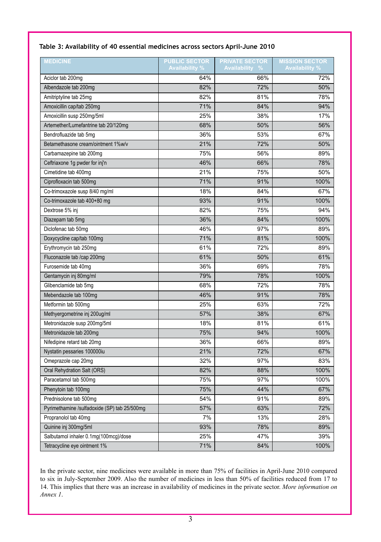#### **Table 3: Availability of 40 essential medicines across sectors April-June 2010**

| <b>MEDICINE</b>                              | <b>PUBLIC SECTOR</b><br><b>Availability %</b> | <b>PRIVATE SECTOR</b><br><b>Availability</b><br>$\frac{0}{2}$ | <b>MISSION SECTOR</b><br><b>Availability %</b> |
|----------------------------------------------|-----------------------------------------------|---------------------------------------------------------------|------------------------------------------------|
| Aciclor tab 200mg                            | 64%                                           | 66%                                                           | 72%                                            |
| Albendazole tab 200mg                        | 82%                                           | 72%                                                           | 50%                                            |
| Amitriptyline tab 25mg                       | 82%                                           | 81%                                                           | 78%                                            |
| Amoxicillin cap/tab 250mg                    | 71%                                           | 84%                                                           | 94%                                            |
| Amoxicillin susp 250mg/5ml                   | 25%                                           | 38%                                                           | 17%                                            |
| Artemether/Lumefantrine tab 20/120mg         | 68%                                           | 50%                                                           | 56%                                            |
| Bendrofluazide tab 5mg                       | 36%                                           | 53%                                                           | 67%                                            |
| Betamethasone cream/ointment 1%w/v           | 21%                                           | 72%                                                           | 50%                                            |
| Carbamazepine tab 200mg                      | 75%                                           | 56%                                                           | 89%                                            |
| Ceftriaxone 1g pwder for inj'n               | 46%                                           | 66%                                                           | 78%                                            |
| Cimetidine tab 400mg                         | 21%                                           | 75%                                                           | 50%                                            |
| Ciprofloxacin tab 500mg                      | 71%                                           | 91%                                                           | 100%                                           |
| Co-trimoxazole susp 8/40 mg/ml               | 18%                                           | 84%                                                           | 67%                                            |
| Co-trimoxazole tab 400+80 mg                 | 93%                                           | 91%                                                           | 100%                                           |
| Dextrose 5% inj                              | 82%                                           | 75%                                                           | 94%                                            |
| Diazepam tab 5mg                             | 36%                                           | 84%                                                           | 100%                                           |
| Diclofenac tab 50mg                          | 46%                                           | 97%                                                           | 89%                                            |
| Doxycycline cap/tab 100mg                    | 71%                                           | 81%                                                           | 100%                                           |
| Erythromycin tab 250mg                       | 61%                                           | 72%                                                           | 89%                                            |
| Fluconazole tab /cap 200mg                   | 61%                                           | 50%                                                           | 61%                                            |
| Furosemide tab 40mg                          | 36%                                           | 69%                                                           | 78%                                            |
| Gentamycin inj 80mg/ml                       | 79%                                           | 78%                                                           | 100%                                           |
| Glibenclamide tab 5mg                        | 68%                                           | 72%                                                           | 78%                                            |
| Mebendazole tab 100mg                        | 46%                                           | 91%                                                           | 78%                                            |
| Metformin tab 500mg                          | 25%                                           | 63%                                                           | 72%                                            |
| Methyergometrine inj 200ug/ml                | 57%                                           | 38%                                                           | 67%                                            |
| Metronidazole susp 200mg/5ml                 | 18%                                           | 81%                                                           | 61%                                            |
| Metronidazole tab 200mg                      | 75%                                           | 94%                                                           | 100%                                           |
| Nifedipine retard tab 20mg                   | 36%                                           | 66%                                                           | 89%                                            |
| Nystatin pessaries 100000iu                  | 21%                                           | 72%                                                           | 67%                                            |
| Omeprazole cap 20mg                          | 32%                                           | 97%                                                           | 83%                                            |
| Oral Rehydration Salt (ORS)                  | 82%                                           | 88%                                                           | 100%                                           |
| Paracetamol tab 500mg                        | 75%                                           | 97%                                                           | 100%                                           |
| Phenytoin tab 100mg                          | 75%                                           | 44%                                                           | 67%                                            |
| Prednisolone tab 500mg                       | 54%                                           | 91%                                                           | 89%                                            |
| Pyrimethamine /sulfadoxide (SP) tab 25/500mg | 57%                                           | 63%                                                           | 72%                                            |
| Propranolol tab 40mg                         | 7%                                            | 13%                                                           | 28%                                            |
| Quinine inj 300mg/5ml                        | 93%                                           | 78%                                                           | 89%                                            |
| Salbutamol inhaler 0.1mg(100mcg)/dose        | 25%                                           | 47%                                                           | 39%                                            |
| Tetracycline eye ointment 1%                 | 71%                                           | 84%                                                           | 100%                                           |

In the private sector, nine medicines were available in more than 75% of facilities in April-June 2010 compared to six in July-September 2009. Also the number of medicines in less than 50% of facilities reduced from 17 to 14. This implies that there was an increase in availability of medicines in the private sector. *More information on Annex 1*.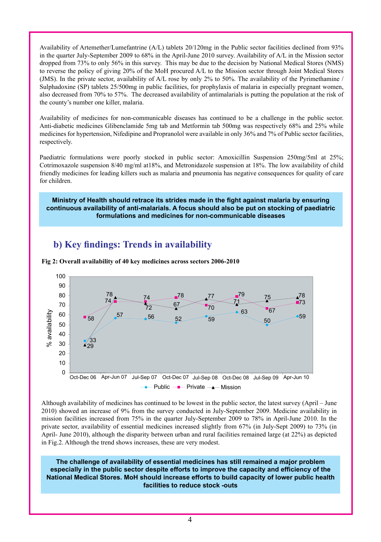Availability of Artemether/Lumefantrine (A/L) tablets 20/120mg in the Public sector facilities declined from 93% in the quarter July-September 2009 to 68% in the April-June 2010 survey. Availability of A/L in the Mission sector dropped from 73% to only 56% in this survey. This may be due to the decision by National Medical Stores (NMS) to reverse the policy of giving 20% of the MoH procured A/L to the Mission sector through Joint Medical Stores (JMS). In the private sector, availability of A/L rose by only 2% to 50%. The availability of the Pyrimethamine / Sulphadoxine (SP) tablets 25/500mg in public facilities, for prophylaxis of malaria in especially pregnant women, also decreased from 70% to 57%. The decreased availability of antimalarials is putting the population at the risk of the county's number one killer, malaria.

Availability of medicines for non-communicable diseases has continued to be a challenge in the public sector. Anti-diabetic medicines Glibenclamide 5mg tab and Metformin tab 500mg was respectively 68% and 25% while medicines for hypertension, Nifedipine and Propranolol were available in only 36% and 7% of Public sector facilities, respectively.

Paediatric formulations were poorly stocked in public sector: Amoxicillin Suspension 250mg/5ml at 25%; Cotrimoxazole suspension 8/40 mg/ml at18%, and Metronidazole suspension at 18%. The low availability of child friendly medicines for leading killers such as malaria and pneumonia has negative consequences for quality of care for children.

**Ministry of Health should retrace its strides made in the fight against malaria by ensuring continuous availability of anti-malarials. A focus should also be put on stocking of paediatric formulations and medicines for non-communicable diseases**

## **b) Key findings: Trends in availability**



**Fig 2: Overall availability of 40 key medicines across sectors 2006-2010**

Although availability of medicines has continued to be lowest in the public sector, the latest survey (April – June 2010) showed an increase of 9% from the survey conducted in July-September 2009. Medicine availability in mission facilities increased from 75% in the quarter July-September 2009 to 78% in April-June 2010. In the private sector, availability of essential medicines increased slightly from 67% (in July-Sept 2009) to 73% (in April- June 2010), although the disparity between urban and rural facilities remained large (at 22%) as depicted in Fig.2. Although the trend shows increases, these are very modest.

**The challenge of availability of essential medicines has still remained a major problem especially in the public sector despite efforts to improve the capacity and efficiency of the National Medical Stores. MoH should increase efforts to build capacity of lower public health facilities to reduce stock -outs**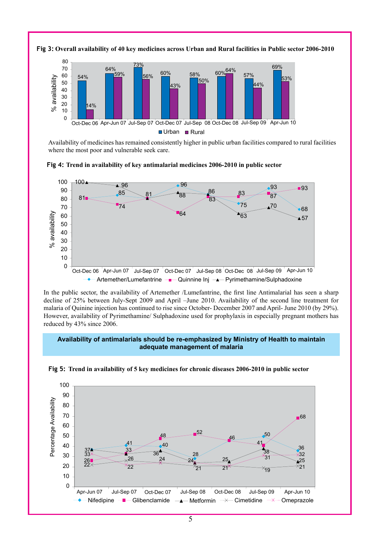

**Fig 3: Overall availability of 40 key medicines across Urban and Rural facilities in Public sector 2006-2010**

Availability of medicines has remained consistently higher in public urban facilities compared to rural facilities where the most poor and vulnerable seek care.





In the public sector, the availability of Artemether /Lumefantrine, the first line Antimalarial has seen a sharp decline of 25% between July-Sept 2009 and April –June 2010. Availability of the second line treatment for malaria of Quinine injection has continued to rise since October- December 2007 and April- June 2010 (by 29%). However, availability of Pyrimethamine/ Sulphadoxine used for prophylaxis in especially pregnant mothers has reduced by 43% since 2006.

### **Availability of antimalarials should be re-emphasized by Ministry of Health to maintain adequate management of malaria**



**Fig 5: Trend in availability of 5 key medicines for chronic diseases 2006-2010 in public sector**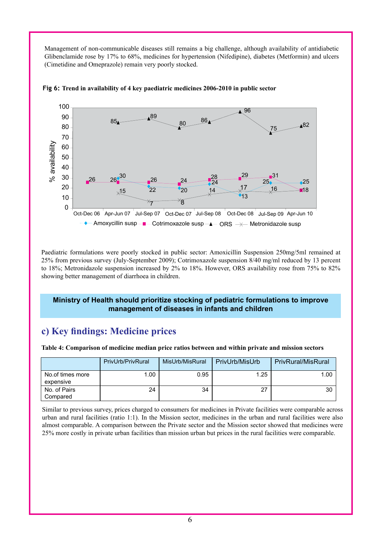Management of non-communicable diseases still remains a big challenge, although availability of antidiabetic Glibenclamide rose by 17% to 68%, medicines for hypertension (Nifedipine), diabetes (Metformin) and ulcers (Cimetidine and Omeprazole) remain very poorly stocked.



**Fig 6: Trend in availability of 4 key paediatric medicines 2006-2010 in public sector**

Paediatric formulations were poorly stocked in public sector: Amoxicillin Suspension 250mg/5ml remained at 25% from previous survey (July-September 2009); Cotrimoxazole suspension 8/40 mg/ml reduced by 13 percent to 18%; Metronidazole suspension increased by 2% to 18%. However, ORS availability rose from 75% to 82% showing better management of diarrhoea in children.

#### **Ministry of Health should prioritize stocking of pediatric formulations to improve management of diseases in infants and children**

### **c) Key findings: Medicine prices**

|  |  | Table 4: Comparison of medicine median price ratios between and within private and mission sectors |  |  |
|--|--|----------------------------------------------------------------------------------------------------|--|--|
|--|--|----------------------------------------------------------------------------------------------------|--|--|

|                               | PrivUrb/PrivRural | MisUrb/MisRural | PrivUrb/MisUrb | <b>PrivRural/MisRural</b> |
|-------------------------------|-------------------|-----------------|----------------|---------------------------|
| No.of times more<br>expensive | 1.00              | 0.95            | 1.25           | 1.00                      |
| No. of Pairs<br>Compared      | 24                | 34              | 27             | 30                        |

Similar to previous survey, prices charged to consumers for medicines in Private facilities were comparable across urban and rural facilities (ratio 1:1). In the Mission sector, medicines in the urban and rural facilities were also almost comparable. A comparison between the Private sector and the Mission sector showed that medicines were 25% more costly in private urban facilities than mission urban but prices in the rural facilities were comparable.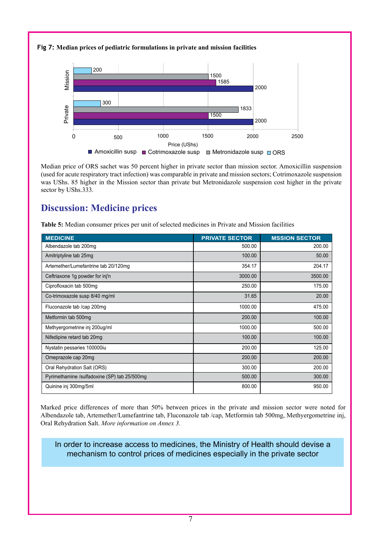#### **Fig 7: Median prices of pediatric formulations in private and mission facilities**



Median price of ORS sachet was 50 percent higher in private sector than mission sector. Amoxicillin suspension (used for acute respiratory tract infection) was comparable in private and mission sectors; Cotrimoxazole suspension was UShs. 85 higher in the Mission sector than private but Metronidazole suspension cost higher in the private sector by UShs.333.

### **Discussion: Medicine prices**

**Table 5:** Median consumer prices per unit of selected medicines in Private and Mission facilities

| <b>MEDICINE</b>                              | <b>PRIVATE SECTOR</b> | <b>MSSION SECTOR</b> |  |  |  |  |
|----------------------------------------------|-----------------------|----------------------|--|--|--|--|
| Albendazole tab 200mg                        | 500.00                | 200.00               |  |  |  |  |
| Amitriptyline tab 25mg                       | 100.00                | 50.00                |  |  |  |  |
| Artemether/Lumefantrine tab 20/120mg         | 354.17                | 204.17               |  |  |  |  |
| Ceftriaxone 1g powder for inj'n              | 3000.00               | 3500.00              |  |  |  |  |
| Ciprofloxacin tab 500mg                      | 250.00                | 175.00               |  |  |  |  |
| Co-trimoxazole susp 8/40 mg/ml               | 31.65                 | 20.00                |  |  |  |  |
| Fluconazole tab /cap 200mg                   | 1000.00               | 475.00               |  |  |  |  |
| Metformin tab 500mg                          | 200.00                | 100.00               |  |  |  |  |
| Methyergometrine inj 200ug/ml                | 1000.00               | 500.00               |  |  |  |  |
| Nifedipine retard tab 20mg                   | 100.00                | 100.00               |  |  |  |  |
| Nystatin pessaries 100000iu                  | 200.00                | 125.00               |  |  |  |  |
| Omeprazole cap 20mg                          | 200.00                | 200.00               |  |  |  |  |
| Oral Rehydration Salt (ORS)                  | 300.00                | 200.00               |  |  |  |  |
| Pyrimethamine /sulfadoxine (SP) tab 25/500mg | 500.00                | 300.00               |  |  |  |  |
| Quinine inj 300mg/5ml                        | 800.00                | 950.00               |  |  |  |  |

Marked price differences of more than 50% between prices in the private and mission sector were noted for Albendazole tab, Artemether/Lumefantrine tab, Fluconazole tab /cap, Metformin tab 500mg, Methyergometrine inj, Oral Rehydration Salt. *More information on Annex 3.*

### In order to increase access to medicines, the Ministry of Health should devise a mechanism to control prices of medicines especially in the private sector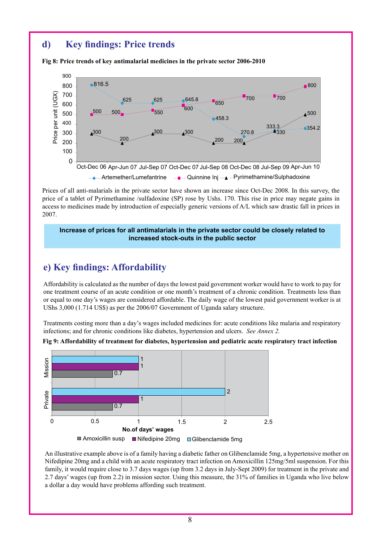### **d) Key findings: Price trends**

**Fig 8: Price trends of key antimalarial medicines in the private sector 2006-2010**



Prices of all anti-malarials in the private sector have shown an increase since Oct-Dec 2008. In this survey, the price of a tablet of Pyrimethamine /sulfadoxine (SP) rose by Ushs. 170. This rise in price may negate gains in access to medicines made by introduction of especially generic versions of A/L which saw drastic fall in prices in 2007.

#### **Increase of prices for all antimalarials in the private sector could be closely related to increased stock-outs in the public sector**

### **e) Key findings: Affordability**

Affordability is calculated as the number of days the lowest paid government worker would have to work to pay for one treatment course of an acute condition or one month's treatment of a chronic condition. Treatments less than or equal to one day's wages are considered affordable. The daily wage of the lowest paid government worker is at UShs 3,000 (1.714 US\$) as per the 2006/07 Government of Uganda salary structure.

Treatments costing more than a day's wages included medicines for: acute conditions like malaria and respiratory infections; and for chronic conditions like diabetes, hypertension and ulcers. *See Annex 2.*



**Fig 9: Affordability of treatment for diabetes, hypertension and pediatric acute respiratory tract infection**

An illustrative example above is of a family having a diabetic father on Glibenclamide 5mg, a hypertensive mother on Nifedipine 20mg and a child with an acute respiratory tract infection on Amoxicillin 125mg/5ml suspension. For this family, it would require close to 3.7 days wages (up from 3.2 days in July-Sept 2009) for treatment in the private and 2.7 days' wages (up from 2.2) in mission sector. Using this measure, the 31% of families in Uganda who live below a dollar a day would have problems affording such treatment.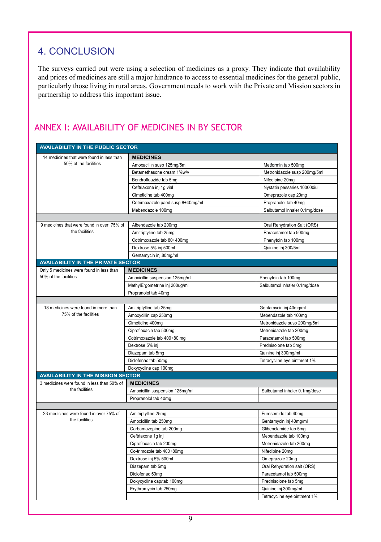# 4. Conclusion

The surveys carried out were using a selection of medicines as a proxy. They indicate that availability and prices of medicines are still a major hindrance to access to essential medicines for the general public, particularly those living in rural areas. Government needs to work with the Private and Mission sectors in partnership to address this important issue.

### Annex I: Availability of medicines in BY sector

| <b>AVAILABILITY IN THE PUBLIC SECTOR</b>   |                                   |                               |  |  |  |  |  |
|--------------------------------------------|-----------------------------------|-------------------------------|--|--|--|--|--|
| 14 medicines that were found in less than  | <b>MEDICINES</b>                  |                               |  |  |  |  |  |
| 50% of the facilities                      | Amoxacillin susp 125mg/5ml        | Metformin tab 500mg           |  |  |  |  |  |
|                                            | Betamethasone cream 1%w/v         | Metronidazole susp 200mg/5ml  |  |  |  |  |  |
|                                            | Bendrofluazide tab 5mg            | Nifedipine 20mg               |  |  |  |  |  |
|                                            | Ceftriaxone inj 1g vial           | Nystatin pessaries 100000iu   |  |  |  |  |  |
|                                            | Cimetidine tab 400mg              | Omeprazole cap 20mg           |  |  |  |  |  |
|                                            | Cotrimoxazole paed susp 8+40mg/ml | Propranolol tab 40mg          |  |  |  |  |  |
|                                            | Mebendazole 100mg                 | Salbutamol inhaler 0.1mg/dose |  |  |  |  |  |
|                                            |                                   |                               |  |  |  |  |  |
| 9 medicines that were found in over 75% of | Albendazole tab 200mg             | Oral Rehydration Salt (ORS)   |  |  |  |  |  |
| the facilities                             | Amitriptyline tab 25mg            | Paracetamol tab 500mg         |  |  |  |  |  |
|                                            | Cotrimoxazole tab 80+400mg        | Phenytoin tab 100mg           |  |  |  |  |  |
|                                            | Dextrose 5% inj 500ml             | Quinine inj 300/5ml           |  |  |  |  |  |
|                                            | Gentamycin inj.80mg/ml            |                               |  |  |  |  |  |
| <b>AVAILABILITY IN THE PRIVATE SECTOR</b>  |                                   |                               |  |  |  |  |  |
| Only 5 medicines were found in less than   | <b>MEDICINES</b>                  |                               |  |  |  |  |  |
| 50% of the facilities                      | Amoxicillin suspension 125mg/ml   | Phenytoin tab 100mg           |  |  |  |  |  |
|                                            | MethylErgometrine inj 200ug/ml    | Salbutamol inhaler 0.1mg/dose |  |  |  |  |  |
|                                            | Propranolol tab 40mg              |                               |  |  |  |  |  |
|                                            |                                   |                               |  |  |  |  |  |
| 18 medicines were found in more than       | Amitriptylline tab 25mg           | Gentamycin inj 40mg/ml        |  |  |  |  |  |
| 75% of the facilities                      | Amoxycillin cap 250mg             | Mebendazole tab 100mg         |  |  |  |  |  |
|                                            | Cimetidine 400mg                  | Metronidazole susp 200mg/5ml  |  |  |  |  |  |
|                                            | Ciprofloxacin tab 500mg           | Metronidazole tab 200mg       |  |  |  |  |  |
|                                            | Cotrimoxazole tab 400+80 mg       | Paracetamol tab 500mg         |  |  |  |  |  |
|                                            | Dextrose 5% inj                   | Prednisolone tab 5mg          |  |  |  |  |  |
|                                            | Diazepam tab 5mg                  | Quinine inj 300mg/ml          |  |  |  |  |  |
|                                            | Diclofenac tab 50mg               | Tetracycline eye ointment 1%  |  |  |  |  |  |
|                                            | Doxycycline cap 100mg             |                               |  |  |  |  |  |
| <b>AVAILABILITY IN THE MISSION SECTOR</b>  |                                   |                               |  |  |  |  |  |
| 3 medicines were found in less than 50% of | <b>MEDICINES</b>                  |                               |  |  |  |  |  |
| the facilities                             | Amoxicillin suspension 125mg/ml   | Salbutamol inhaler 0.1mg/dose |  |  |  |  |  |
|                                            | Propranolol tab 40mg              |                               |  |  |  |  |  |
|                                            |                                   |                               |  |  |  |  |  |
| 23 medicines were found in over 75% of     | Amitriptylline 25mg               | Furosemide tab 40mg           |  |  |  |  |  |
| the facilities                             | Amoxicillin tab 250mg             | Gentamycin inj 40mg/ml        |  |  |  |  |  |
|                                            | Carbamazepine tab 200mg           | Glibenclamide tab 5mg         |  |  |  |  |  |
|                                            | Ceftriaxone 1g inj                | Mebendazole tab 100mg         |  |  |  |  |  |
|                                            | Ciprofloxacin tab 200mg           | Metronidazole tab 200mg       |  |  |  |  |  |
|                                            | Co-trimozole tab 400+80mg         | Nifedipine 20mg               |  |  |  |  |  |
|                                            | Dextrose inj 5% 500ml             | Omeprazole 20mg               |  |  |  |  |  |
|                                            | Diazepam tab 5mg                  | Oral Rehydration salt (ORS)   |  |  |  |  |  |
|                                            | Diclofenac 50mg                   | Paracetamol tab 500mg         |  |  |  |  |  |
|                                            | Doxycycline cap/tab 100mg         | Prednisolone tab 5mg          |  |  |  |  |  |
|                                            | Erythromycin tab 250mg            | Quinine inj 300mg/ml          |  |  |  |  |  |
|                                            |                                   | Tetracycline eye ointment 1%  |  |  |  |  |  |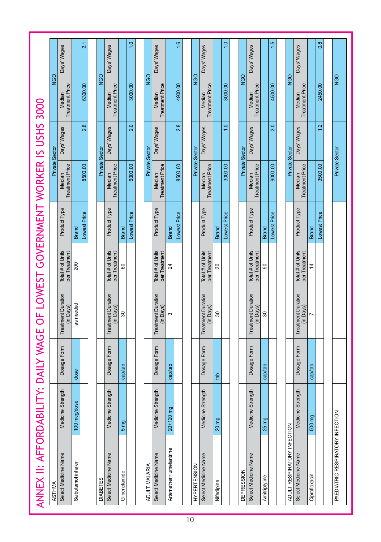|                                          |                | Days' Wages                            |                    | 21           |                 | Days' Wages                            |                 | $\overline{1}$ .0 |                | Days' Wages                            |                         | $\frac{6}{1}$ |                     | Days' Wages                            |                         | $\frac{0}{1}$     |                       | Days' Wages                            |                  | 1.5          |                             | Days' Wages                            |                | $0.\overline{8}$ |                                  |
|------------------------------------------|----------------|----------------------------------------|--------------------|--------------|-----------------|----------------------------------------|-----------------|-------------------|----------------|----------------------------------------|-------------------------|---------------|---------------------|----------------------------------------|-------------------------|-------------------|-----------------------|----------------------------------------|------------------|--------------|-----------------------------|----------------------------------------|----------------|------------------|----------------------------------|
|                                          | <b>NGO</b>     | <b>Treatment Price</b><br>Median       |                    | 6300.00      | NGO             | <b>Treatment Price</b><br>Median       |                 | 3000.00           | <b>NGO</b>     | <b>Treatment Price</b><br>Median       |                         | 4900.00       | NGO                 | <b>Treatment Price</b><br>Median       |                         | 3000.00           | <b>NGO</b>            | <b>Treatment Price</b><br>Median       |                  | 4500.00      | <b>NGO</b>                  | <b>Treatment Price</b><br>Median       |                | 2450.00          | <b>NGO</b>                       |
|                                          |                | Days' Wages                            |                    | 2.8          |                 | Days' Wages                            |                 | 2.0               |                | Days' Wages                            |                         | 2.8           |                     | Days' Wages                            |                         | $\overline{1}$ .0 |                       | Days' Wages                            |                  | 3.0          |                             | Days' Wages                            |                | 1.2              |                                  |
|                                          | Private Sector | <b>Treatment Price</b><br>Median       |                    | 8500.00      | Private Sector  | <b>Treatment Price</b><br>Median       |                 | 6000.00           | Private Sector | <b>Treatment Price</b><br>Median       |                         | 8500.00       | Private Sector      | <b>Treatment Price</b><br>Median       |                         | 3000.00           | <b>Private Sector</b> | <b>Treatment Price</b><br>Median       |                  | 9000.00      | Private Sector              | <b>Treatment Price</b><br>Median       |                | 3500.00          | Private Sector                   |
|                                          |                | Product Type                           | <b>Brand</b>       | Lowest Price |                 | Product Type                           | <b>Brand</b>    | Lowest Price      |                | Product Type                           | <b>Brand</b>            | Lowest Price  |                     | Product Type                           | <b>Brand</b>            | Lowest Price      |                       | Product Type                           | <b>Brand</b>     | Lowest Price |                             | Product Type                           | <b>Brand</b>   | Lowest Price     |                                  |
| OF LOWEST GOVERNMENT WORKER IS USHS 3000 |                | Total # of Units<br>per Treatment      | 200                |              |                 | Total # of Units<br>per Treatment      | 8               |                   |                | Total # of Units<br>per Treatment      | $\overline{24}$         |               |                     | Total # of Units<br>per Treatment      | $\overline{\mathrm{S}}$ |                   |                       | Total # of Units<br>per Treatment      | 90               |              |                             | Total # of Units<br>per Treatment      | $\overline{4}$ |                  |                                  |
|                                          |                | <b>Treatment Duration</b><br>(in Days) | as needed          |              |                 | <b>Treatment Duration</b><br>(in Days) | $\infty$        |                   |                | <b>Treatment Duration</b><br>(in Days) | S                       |               |                     | <b>Treatment Duration</b><br>(in Days) | $\boldsymbol{S}$        |                   |                       | <b>Treatment Duration</b><br>(in Days) | $\boldsymbol{S}$ |              |                             | <b>Treatment Duration</b><br>(in Days) | Ľ              |                  |                                  |
|                                          |                | Dosage Form                            | dose               |              |                 | Dosage Form                            | cap/tab         |                   |                | Dosage Form                            | cap/tab                 |               |                     | Dosage Form                            | det                     |                   |                       | Dosage Form                            | cap/tab          |              |                             | Dosage Form                            | cap/tab        |                  |                                  |
|                                          |                | Medicine Strength                      | 100 mcg/dose       |              |                 | Medicine Strength                      | 5 <sub>mg</sub> |                   |                | Medicine Strength                      | $20 + 120$ mg           |               |                     | Medicine Strength                      | 20 mg                   |                   |                       | Medicine Strength                      | 25 mg            |              |                             | Medicine Strength                      | 500 mg         |                  |                                  |
| ANNEX II: AFFORDABILITY: DAILY WAGE      | <b>ASTHMA</b>  | Select Medicine Name                   | Salbutamol inhaler |              | <b>DIABETES</b> | Select Medicine Name                   | Glibenclamide   |                   | ADULT MALARIA  | Select Medicine Name                   | Artemether+lumefantrine |               | <b>HYPERTENSION</b> | Select Medicine Name                   | Nifedipine              |                   | <b>DEPRESSION</b>     | Select Medicine Name                   | Amitriptyline    |              | ADULT RESPIRATORY INFECTION | Select Medicine Name                   | Ciprofloxacin  |                  | PAEDIATRIC RESPIRATORY INFECTION |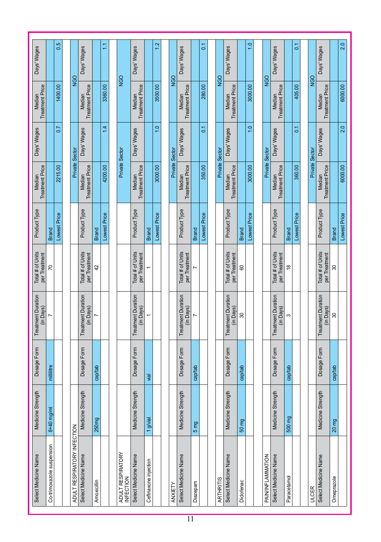| Days' Wages                            |                           | 0.5            |                             | Days' Wages                            |              | H            |                                       | Days' Wages                            |                       | 12            |                | Days' Wages                            |                 | $\overline{C}$ |                | Days' Wages                            |                          | $\frac{0}{1}$ |                   | Days' Wages                            |               | $\overline{a}$ |                | Days' Wages                            |              | 2.0          |
|----------------------------------------|---------------------------|----------------|-----------------------------|----------------------------------------|--------------|--------------|---------------------------------------|----------------------------------------|-----------------------|---------------|----------------|----------------------------------------|-----------------|----------------|----------------|----------------------------------------|--------------------------|---------------|-------------------|----------------------------------------|---------------|----------------|----------------|----------------------------------------|--------------|--------------|
| <b>Treatment Price</b><br>Median       |                           | 1400.00        | <b>NGO</b>                  | <b>Treatment Price</b><br>Median       |              | 3360.00      | <b>NGO</b>                            | <b>Treatment Price</b><br>Median       |                       | 3500.00       | <b>DEN</b>     | <b>Treatment Price</b><br>Median       |                 | 280.00         | <b>NGO</b>     | <b>Treatment Price</b><br>Median       |                          | 3000.00       | <b>NGO</b>        | <b>Treatment Price</b><br>Median       |               | 405.00         | <b>NGO</b>     | <b>Treatment Price</b><br>Median       |              | 6000.00      |
| Days' Wages                            |                           | $\overline{0}$ |                             | Days' Wages                            |              | 1.4          |                                       | Days' Wages                            |                       | $\frac{0}{1}$ |                | Days' Wages                            |                 | $\overline{0}$ |                | Days' Wages                            |                          | $\frac{0}{1}$ |                   | Days' Wages                            |               | $\overline{0}$ |                | Days' Wages                            |              | 2.0          |
| <b>Treatment Price</b><br>Median       |                           | 2215.00        | Private Sector              | <b>Treatment Price</b><br>Median       |              | 4200.00      | Private Sector                        | <b>Treatment Price</b><br>Median       |                       | 3000.00       | Private Sector | <b>Treatment Price</b><br>Median       |                 | 350.00         | Private Sector | <b>Treatment Price</b><br>Median       |                          | 3000.00       | Private Sector    | <b>Treatment Price</b><br>Median       |               | 360.00         | Private Sector | <b>Treatment Price</b><br>Median       |              | 6000.00      |
| Product Type                           | <b>Brand</b>              | Lowest Price   |                             | Product Type                           | <b>Brand</b> | Lowest Price |                                       | Product Type                           | <b>Brand</b>          | Lowest Price  |                | Product Type                           | <b>Brand</b>    | Lowest Price   |                | Product Type                           | <b>Brand</b>             | Lowest Price  |                   | Product Type                           | <b>Brand</b>  | Lowest Price   |                | Product Type                           | <b>Brand</b> | Lowest Price |
| Total # of Units<br>per Treatment      | 20                        |                |                             | Total # of Units<br>per Treatment      | 42           |              |                                       | Total # of Units<br>per Treatment      |                       |               |                | Total # of Units<br>per Treatment      |                 |                |                | Total # of Units<br>per Treatment      | 8                        |               |                   | Total # of Units<br>per Treatment      | $\frac{8}{1}$ |                |                | Total # of Units<br>per Treatment      | 80           |              |
| <b>Treatment Duration</b><br>(in Days) |                           |                |                             | <b>Treatment Duration</b><br>(in Days) |              |              |                                       | <b>Treatment Duration</b><br>(in Days) |                       |               |                | <b>Treatment Duration</b><br>(in Days) |                 |                |                | <b>Treatment Duration</b><br>(in Days) | $\overline{\mathrm{30}}$ |               |                   | <b>Treatment Duration</b><br>(in Days) | S             |                |                | <b>Treatment Duration</b><br>(in Days) | 8            |              |
| Dosage Form                            | mililitre                 |                |                             | Dosage Form                            | cap/tab      |              |                                       | Dosage Form                            | vial                  |               |                | Dosage Form                            | cap/tab         |                |                | Dosage Form                            | cap/tab                  |               |                   | Dosage Form                            | cap/tab       |                |                | Dosage Form                            | cap/tab      |              |
| Medicine Strength                      | $8+40$ mg/ml              |                |                             | Medicine Strength                      | 250mg        |              |                                       | Medicine Strength                      | 1 g/vial              |               |                | Medicine Strength                      | 5 <sub>mg</sub> |                |                | Medicine Strength                      | 50 mg                    |               |                   | Medicine Strength                      | 500 mg        |                |                | Medicine Strength                      | 20 mg        |              |
| Select Medicine Name                   | Co-trimoxazole suspension |                | ADULT RESPIRATORY INFECTION | Select Medicine Name                   | Amoxicillin  |              | ADULT RESPIRATORY<br><b>INFECTION</b> | Select Medicine Name                   | Ceftriaxone injection |               | ANXIETY        | Select Medicine Name                   | Diazepam        |                | ARTHRITIS      | Select Medicine Name                   | Diclofenac               |               | PAIN/INFLAMMATION | Select Medicine Name                   | Paracetamol   |                | <b>ULCER</b>   | Select Medicine Name                   | Omeprazole   |              |